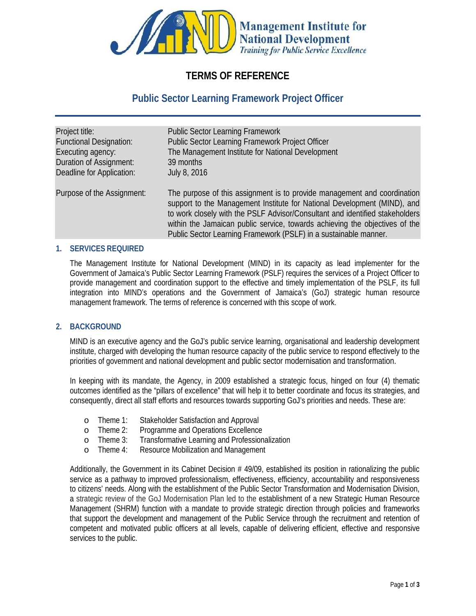

# **TERMS OF REFERENCE**

# **Public Sector Learning Framework Project Officer**

| Project title:                   | <b>Public Sector Learning Framework</b>                                                                                                                                                                                                                                                                                                                                                |
|----------------------------------|----------------------------------------------------------------------------------------------------------------------------------------------------------------------------------------------------------------------------------------------------------------------------------------------------------------------------------------------------------------------------------------|
| <b>Functional Designation:</b>   | Public Sector Learning Framework Project Officer                                                                                                                                                                                                                                                                                                                                       |
| Executing agency.                | The Management Institute for National Development                                                                                                                                                                                                                                                                                                                                      |
| <b>Duration of Assignment:</b>   | 39 months                                                                                                                                                                                                                                                                                                                                                                              |
| <b>Deadline for Application:</b> | <b>July 8, 2016</b>                                                                                                                                                                                                                                                                                                                                                                    |
| Purpose of the Assignment:       | The purpose of this assignment is to provide management and coordination<br>support to the Management Institute for National Development (MIND), and<br>to work dosely with the PSLF Advisor/Consultant and identified stakeholders<br>within the Jamaican public service, towards achieving the objectives of the<br>Public Sector Learning Framework (PSLF) in a sustainable manner. |

## **1. SERVICES REQUIRED**

The Management Institute for National Development (MIND) in its capacity as lead implementer for the Government of Jamaica's Public Sector Learning Framework (PSLF) requires the services of a Project Officer to provide management and coordination support to the effective and timely implementation of the PSLF, its full integration into MIND's operations and the Government of Jamaica's (GoJ) strategic human resource management framework. The terms of reference is concerned with this scope of work.

#### **2. BACKGROUND**

MIND is an executive agency and the GoJ's public service learning, organisational and leadership development institute, charged with developing the human resource capacity of the public service to respond effectively to the priorities of government and national development and public sector modernisation and transformation.

In keeping with its mandate, the Agency, in 2009 established a strategic focus, hinged on four (4) thematic outcomes identified as the "pillars of excellence" that will help it to better coordinate and focus its strategies, and consequently, direct all staff efforts and resources towards supporting GoJ's priorities and needs. These are:

- o Theme 1: Stakeholder Satisfaction and Approval
- o Theme 2: Programme and Operations Excellence
- o Theme 3: Transformative Learning and Professionalization
- o Theme 4: Resource Mobilization and Management

Additionally, the Government in its Cabinet Decision # 49/09, established its position in rationalizing the public service as a pathway to improved professionalism, effectiveness, efficiency, accountability and responsiveness to citizens' needs. Along with the establishment of the Public Sector Transformation and Modernisation Division, a strategic review of the GoJ Modernisation Plan led to the establishment of a new Strategic Human Resource Management (SHRM) function with a mandate to provide strategic direction through policies and frameworks that support the development and management of the Public Service through the recruitment and retention of competent and motivated public officers at all levels, capable of delivering efficient, effective and responsive services to the public.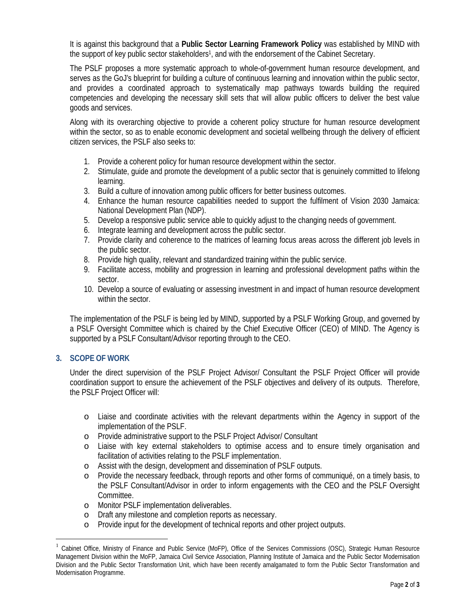It is against this background that a **Public Sector Learning Framework Policy** was established by MIND with the support of key public sector stakeholders<sup>1</sup>, and with the endorsement of the Cabinet Secretary.

The PSLF proposes a more systematic approach to whole-of-government human resource development, and serves as the GoJ's blueprint for building a culture of continuous learning and innovation within the public sector, and provides a coordinated approach to systematically map pathways towards building the required competencies and developing the necessary skill sets that will allow public officers to deliver the best value goods and services.

Along with its overarching objective to provide a coherent policy structure for human resource development within the sector, so as to enable economic development and societal wellbeing through the delivery of efficient citizen services, the PSLF also seeks to:

- 1. Provide a coherent policy for human resource development within the sector.
- 2. Stimulate, guide and promote the development of a public sector that is genuinely committed to lifelong learning.
- 3. Build a culture of innovation among public officers for better business outcomes.
- 4. Enhance the human resource capabilities needed to support the fulfilment of Vision 2030 Jamaica: National Development Plan (NDP).
- 5. Develop a responsive public service able to quickly adjust to the changing needs of government.
- 6. Integrate learning and development across the public sector.
- 7. Provide clarity and coherence to the matrices of learning focus areas across the different job levels in the public sector.
- 8. Provide high quality, relevant and standardized training within the public service.
- 9. Facilitate access, mobility and progression in learning and professional development paths within the sector.
- 10. Develop a source of evaluating or assessing investment in and impact of human resource development within the sector.

The implementation of the PSLF is being led by MIND, supported by a PSLF Working Group, and governed by a PSLF Oversight Committee which is chaired by the Chief Executive Officer (CEO) of MIND. The Agency is supported by a PSLF Consultant/Advisor reporting through to the CEO.

## **3. SCOPE OF WORK**

Under the direct supervision of the PSLF Project Advisor/ Consultant the PSLF Project Officer will provide coordination support to ensure the achievement of the PSLF objectives and delivery of its outputs. Therefore, the PSLF Project Officer will:

- o Liaise and coordinate activities with the relevant departments within the Agency in support of the implementation of the PSLF.
- o Provide administrative support to the PSLF Project Advisor/ Consultant
- o Liaise with key external stakeholders to optimise access and to ensure timely organisation and facilitation of activities relating to the PSLF implementation.
- o Assist with the design, development and dissemination of PSLF outputs.
- o Provide the necessary feedback, through reports and other forms of communiqué, on a timely basis, to the PSLF Consultant/Advisor in order to inform engagements with the CEO and the PSLF Oversight Committee.
- o Monitor PSLF implementation deliverables.
- o Draft any milestone and completion reports as necessary.
- o Provide input for the development of technical reports and other project outputs.

<sup>1</sup> Cabinet Office, Ministry of Finance and Public Service (MoFP), Office of the Services Commissions (OSC), Strategic Human Resource Management Division within the MoFP, Jamaica Civil Service Association, Planning Institute of Jamaica and the Public Sector Modernisation Division and the Public Sector Transformation Unit, which have been recently amalgamated to form the Public Sector Transformation and Modernisation Programme.